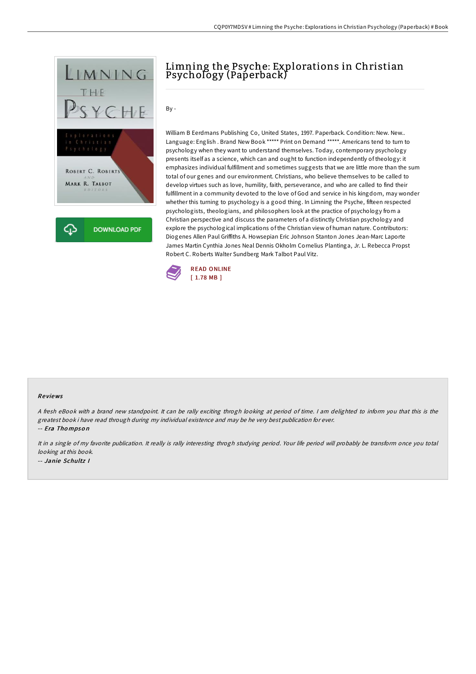

## Limning the Psyche: Explorations in Christian Psychology (Paperback)

 $Bv -$ 

William B Eerdmans Publishing Co, United States, 1997. Paperback. Condition: New. New.. Language: English . Brand New Book \*\*\*\*\* Print on Demand \*\*\*\*\*. Americans tend to turn to psychology when they want to understand themselves. Today, contemporary psychology presents itself as a science, which can and ought to function independently of theology: it emphasizes individual fulfillment and sometimes suggests that we are little more than the sum total of our genes and our environment. Christians, who believe themselves to be called to develop virtues such as love, humility, faith, perseverance, and who are called to find their fulfillment in a community devoted to the love of God and service in his kingdom, may wonder whether this turning to psychology is a good thing. In Limning the Psyche, fifteen respected psychologists, theologians, and philosophers look at the practice of psychology from a Christian perspective and discuss the parameters of a distinctly Christian psychology and explore the psychological implications of the Christian view of human nature. Contributors: Diogenes Allen Paul Griffiths A. Howsepian Eric Johnson Stanton Jones Jean-Marc Laporte James Martin Cynthia Jones Neal Dennis Okholm Cornelius Plantinga, Jr. L. Rebecca Propst Robert C. Roberts Walter Sundberg Mark Talbot Paul Vitz.



## Re views

<sup>A</sup> fresh eBook with <sup>a</sup> brand new standpoint. It can be rally exciting throgh looking at period of time. <sup>I</sup> am delighted to inform you that this is the greatest book i have read through during my individual existence and may be he very best publication for ever. -- Era Tho mpso <sup>n</sup>

It in <sup>a</sup> single of my favorite publication. It really is rally interesting throgh studying period. Your life period will probably be transform once you total looking at this book. -- Janie Schultz I